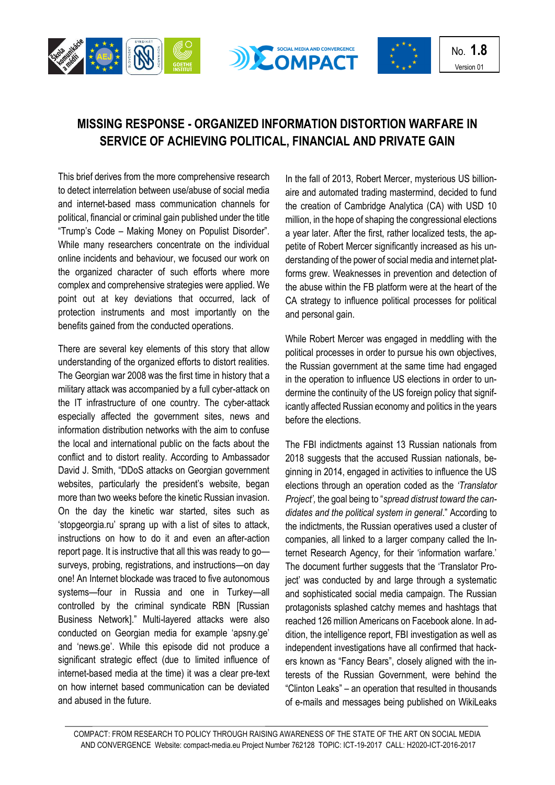





## **MISSING RESPONSE - ORGANIZED INFORMATION DISTORTION WARFARE IN SERVICE OF ACHIEVING POLITICAL, FINANCIAL AND PRIVATE GAIN**

This brief derives from the more comprehensive research to detect interrelation between use/abuse of social media and internet-based mass communication channels for political, financial or criminal gain published under the title "Trump's Code – Making Money on Populist Disorder". While many researchers concentrate on the individual online incidents and behaviour, we focused our work on the organized character of such efforts where more complex and comprehensive strategies were applied. We point out at key deviations that occurred, lack of protection instruments and most importantly on the benefits gained from the conducted operations.

There are several key elements of this story that allow understanding of the organized efforts to distort realities. The Georgian war 2008 was the first time in history that a military attack was accompanied by a full cyber-attack on the IT infrastructure of one country. The cyber-attack especially affected the government sites, news and information distribution networks with the aim to confuse the local and international public on the facts about the conflict and to distort reality. According to Ambassador David J. Smith, "DDoS attacks on Georgian government websites, particularly the president's website, began more than two weeks before the kinetic Russian invasion. On the day the kinetic war started, sites such as 'stopgeorgia.ru' sprang up with a list of sites to attack, instructions on how to do it and even an after-action report page. It is instructive that all this was ready to go surveys, probing, registrations, and instructions—on day one! An Internet blockade was traced to five autonomous systems—four in Russia and one in Turkey—all controlled by the criminal syndicate RBN [Russian Business Network]." Multi-layered attacks were also conducted on Georgian media for example 'apsny.ge' and 'news.ge'. While this episode did not produce a significant strategic effect (due to limited influence of internet-based media at the time) it was a clear pre-text on how internet based communication can be deviated and abused in the future.

In the fall of 2013, Robert Mercer, mysterious US billionaire and automated trading mastermind, decided to fund the creation of Cambridge Analytica (CA) with USD 10 million, in the hope of shaping the congressional elections a year later. After the first, rather localized tests, the appetite of Robert Mercer significantly increased as his understanding of the power of social media and internet platforms grew. Weaknesses in prevention and detection of the abuse within the FB platform were at the heart of the CA strategy to influence political processes for political and personal gain.

While Robert Mercer was engaged in meddling with the political processes in order to pursue his own objectives, the Russian government at the same time had engaged in the operation to influence US elections in order to undermine the continuity of the US foreign policy that significantly affected Russian economy and politics in the years before the elections.

The FBI indictments against 13 Russian nationals from 2018 suggests that the accused Russian nationals, beginning in 2014, engaged in activities to influence the US elections through an operation coded as the *'Translator Project',* the goal being to "*spread distrust toward the candidates and the political system in general*." According to the indictments, the Russian operatives used a cluster of companies, all linked to a larger company called the Internet Research Agency, for their 'information warfare.' The document further suggests that the 'Translator Project' was conducted by and large through a systematic and sophisticated social media campaign. The Russian protagonists splashed catchy memes and hashtags that reached 126 million Americans on Facebook alone. In addition, the intelligence report, FBI investigation as well as independent investigations have all confirmed that hackers known as "Fancy Bears", closely aligned with the interests of the Russian Government, were behind the "Clinton Leaks" – an operation that resulted in thousands of e-mails and messages being published on WikiLeaks